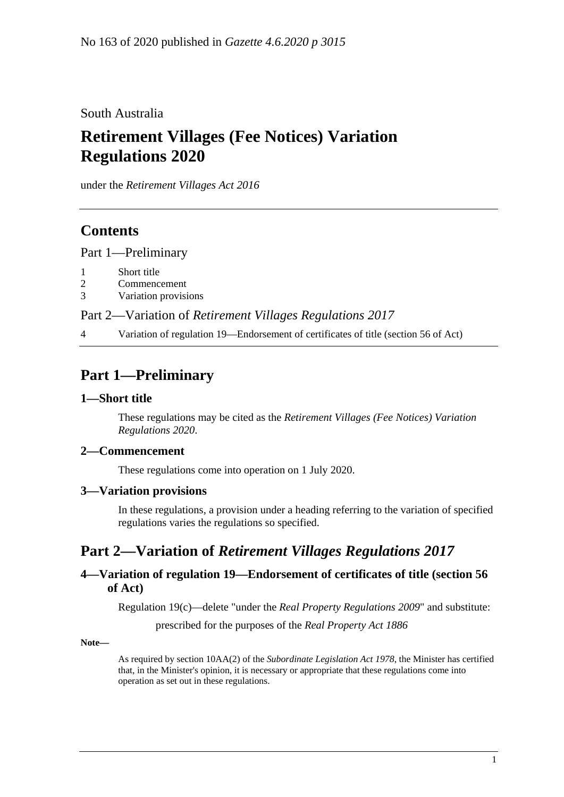South Australia

# **Retirement Villages (Fee Notices) Variation Regulations 2020**

under the *Retirement Villages Act 2016*

# **Contents**

Part [1—Preliminary](#page-0-0)

- 1 [Short title](#page-0-1)
- 2 [Commencement](#page-0-2)
- 3 [Variation provisions](#page-0-3)

Part 2—Variation of *[Retirement Villages Regulations](#page-0-4) 2017*

4 [Variation of regulation 19—Endorsement of certificates of title \(section](#page-0-5) 56 of Act)

# <span id="page-0-0"></span>**Part 1—Preliminary**

### <span id="page-0-1"></span>**1—Short title**

These regulations may be cited as the *Retirement Villages (Fee Notices) Variation Regulations 2020*.

#### <span id="page-0-2"></span>**2—Commencement**

These regulations come into operation on 1 July 2020.

### <span id="page-0-3"></span>**3—Variation provisions**

In these regulations, a provision under a heading referring to the variation of specified regulations varies the regulations so specified.

# <span id="page-0-4"></span>**Part 2—Variation of** *Retirement Villages Regulations 2017*

### <span id="page-0-5"></span>**4—Variation of regulation 19—Endorsement of certificates of title (section 56 of Act)**

Regulation 19(c)—delete "under the *[Real Property Regulations](http://www.legislation.sa.gov.au/index.aspx?action=legref&type=act&legtitle=Real%20Property%20Regulations%202009) 2009*" and substitute:

prescribed for the purposes of the *[Real Property Act](http://www.legislation.sa.gov.au/index.aspx?action=legref&type=act&legtitle=Real%20Property%20Act%201886) 1886*

**Note—**

As required by section 10AA(2) of the *[Subordinate Legislation Act](http://www.legislation.sa.gov.au/index.aspx?action=legref&type=act&legtitle=Subordinate%20Legislation%20Act%201978) 1978*, the Minister has certified that, in the Minister's opinion, it is necessary or appropriate that these regulations come into operation as set out in these regulations.